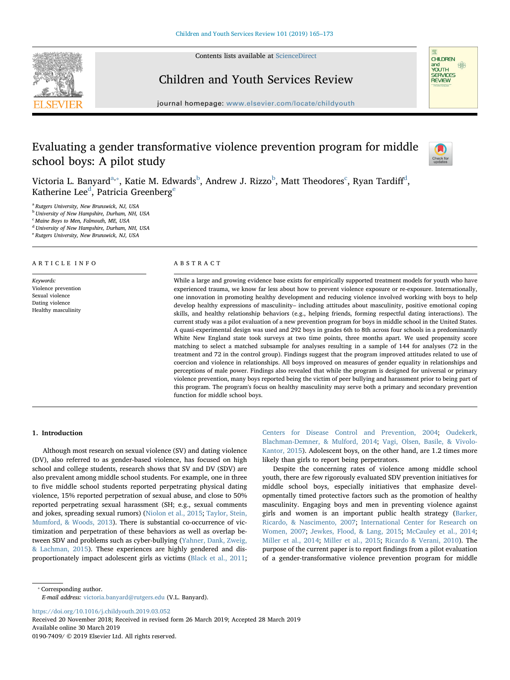Contents lists available at ScienceDirect



# Children and Youth Services Review



journal homepage: www.elsevier.com/locate/childyouth

# Evaluating a gender transformative violence prevention program for middle school boys: A pilot study



Victoria L. Banyard $^{\text{a},*}$ , Katie M. Edwards $^{\text{b}}$ , Andrew J. Rizzo $^{\text{b}}$ , Matt Theodores $^{\text{c}}$ , Ryan Tardiff $^{\text{d}}$ , Katherine Lee<sup>d</sup>, Patricia Greenberg<sup>e</sup>

<sup>a</sup> Rutgers University, New Brunswick, NJ, USA

<sup>b</sup> University of New Hampshire, Durham, NH, USA

<sup>c</sup> Maine Boys to Men, Falmouth, ME, USA

<sup>d</sup> University of New Hampshire, Durham, NH, USA

<sup>e</sup> Rutgers University, New Brunswick, NJ, USA

# ARTICLE INFO

Keywords: Violence prevention Sexual violence Dating violence Healthy masculinity

# ABSTRACT

While a large and growing evidence base exists for empirically supported treatment models for youth who have experienced trauma, we know far less about how to prevent violence exposure or re-exposure. Internationally, one innovation in promoting healthy development and reducing violence involved working with boys to help develop healthy expressions of masculinity– including attitudes about masculinity, positive emotional coping skills, and healthy relationship behaviors (e.g., helping friends, forming respectful dating interactions). The current study was a pilot evaluation of a new prevention program for boys in middle school in the United States. A quasi-experimental design was used and 292 boys in grades 6th to 8th across four schools in a predominantly White New England state took surveys at two time points, three months apart. We used propensity score matching to select a matched subsample for analyses resulting in a sample of 144 for analyses (72 in the treatment and 72 in the control group). Findings suggest that the program improved attitudes related to use of coercion and violence in relationships. All boys improved on measures of gender equality in relationships and perceptions of male power. Findings also revealed that while the program is designed for universal or primary violence prevention, many boys reported being the victim of peer bullying and harassment prior to being part of this program. The program's focus on healthy masculinity may serve both a primary and secondary prevention function for middle school boys.

# 1. Introduction

Although most research on sexual violence (SV) and dating violence (DV), also referred to as gender-based violence, has focused on high school and college students, research shows that SV and DV (SDV) are also prevalent among middle school students. For example, one in three to five middle school students reported perpetrating physical dating violence, 15% reported perpetration of sexual abuse, and close to 50% reported perpetrating sexual harassment (SH; e.g., sexual comments and jokes, spreading sexual rumors) (Niolon et al., 2015; Taylor, Stein, Mumford, & Woods, 2013). There is substantial co-occurrence of victimization and perpetration of these behaviors as well as overlap between SDV and problems such as cyber-bullying (Yahner, Dank, Zweig, & Lachman, 2015). These experiences are highly gendered and disproportionately impact adolescent girls as victims (Black et al., 2011;

Centers for Disease Control and Prevention, 2004; Oudekerk, Blachman-Demner, & Mulford, 2014; Vagi, Olsen, Basile, & Vivolo-Kantor, 2015). Adolescent boys, on the other hand, are 1.2 times more likely than girls to report being perpetrators.

Despite the concerning rates of violence among middle school youth, there are few rigorously evaluated SDV prevention initiatives for middle school boys, especially initiatives that emphasize developmentally timed protective factors such as the promotion of healthy masculinity. Engaging boys and men in preventing violence against girls and women is an important public health strategy (Barker, Ricardo, & Nascimento, 2007; International Center for Research on Women, 2007; Jewkes, Flood, & Lang, 2015; McCauley et al., 2014; Miller et al., 2014; Miller et al., 2015; Ricardo & Verani, 2010). The purpose of the current paper is to report findings from a pilot evaluation of a gender-transformative violence prevention program for middle

⁎ Corresponding author. E-mail address: victoria.banyard@rutgers.edu (V.L. Banyard).

https://doi.org/10.1016/j.childyouth.2019.03.052

Received 20 November 2018; Received in revised form 26 March 2019; Accepted 28 March 2019 Available online 30 March 2019 0190-7409/ © 2019 Elsevier Ltd. All rights reserved.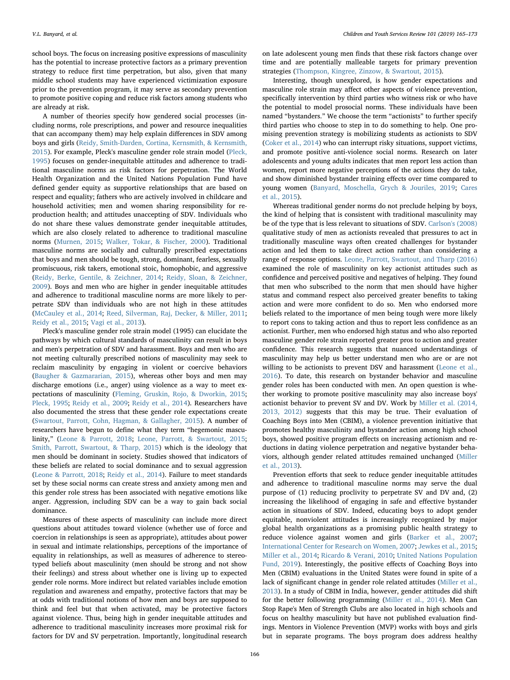school boys. The focus on increasing positive expressions of masculinity has the potential to increase protective factors as a primary prevention strategy to reduce first time perpetration, but also, given that many middle school students may have experienced victimization exposure prior to the prevention program, it may serve as secondary prevention to promote positive coping and reduce risk factors among students who are already at risk.

A number of theories specify how gendered social processes (including norms, role prescriptions, and power and resource inequalities that can accompany them) may help explain differences in SDV among boys and girls (Reidy, Smith-Darden, Cortina, Kernsmith, & Kernsmith, 2015). For example, Pleck's masculine gender role strain model (Pleck, 1995) focuses on gender-inequitable attitudes and adherence to traditional masculine norms as risk factors for perpetration. The World Health Organization and the United Nations Population Fund have defined gender equity as supportive relationships that are based on respect and equality; fathers who are actively involved in childcare and household activities; men and women sharing responsibility for reproduction health; and attitudes unaccepting of SDV. Individuals who do not share these values demonstrate gender inequitable attitudes, which are also closely related to adherence to traditional masculine norms (Murnen, 2015; Walker, Tokar, & Fischer, 2000). Traditional masculine norms are socially and culturally prescribed expectations that boys and men should be tough, strong, dominant, fearless, sexually promiscuous, risk takers, emotional stoic, homophobic, and aggressive (Reidy, Berke, Gentile, & Zeichner, 2014; Reidy, Sloan, & Zeichner, 2009). Boys and men who are higher in gender inequitable attitudes and adherence to traditional masculine norms are more likely to perpetrate SDV than individuals who are not high in these attitudes (McCauley et al., 2014; Reed, Silverman, Raj, Decker, & Miller, 2011; Reidy et al., 2015; Vagi et al., 2013).

Pleck's masculine gender role strain model (1995) can elucidate the pathways by which cultural standards of masculinity can result in boys and men's perpetration of SDV and harassment. Boys and men who are not meeting culturally prescribed notions of masculinity may seek to reclaim masculinity by engaging in violent or coercive behaviors (Baugher & Gazmararian, 2015), whereas other boys and men may discharge emotions (i.e., anger) using violence as a way to meet expectations of masculinity (Fleming, Gruskin, Rojo, & Dworkin, 2015; Pleck, 1995; Reidy et al., 2009; Reidy et al., 2014). Researchers have also documented the stress that these gender role expectations create (Swartout, Parrott, Cohn, Hagman, & Gallagher, 2015). A number of researchers have begun to define what they term "hegemonic masculinity," (Leone & Parrott, 2018; Leone, Parrott, & Swartout, 2015; Smith, Parrott, Swartout, & Tharp, 2015) which is the ideology that men should be dominant in society. Studies showed that indicators of these beliefs are related to social dominance and to sexual aggression (Leone & Parrott, 2018; Reidy et al., 2014). Failure to meet standards set by these social norms can create stress and anxiety among men and this gender role stress has been associated with negative emotions like anger. Aggression, including SDV can be a way to gain back social dominance.

Measures of these aspects of masculinity can include more direct questions about attitudes toward violence (whether use of force and coercion in relationships is seen as appropriate), attitudes about power in sexual and intimate relationships, perceptions of the importance of equality in relationships, as well as measures of adherence to stereotyped beliefs about masculinity (men should be strong and not show their feelings) and stress about whether one is living up to expected gender role norms. More indirect but related variables include emotion regulation and awareness and empathy, protective factors that may be at odds with traditional notions of how men and boys are supposed to think and feel but that when activated, may be protective factors against violence. Thus, being high in gender inequitable attitudes and adherence to traditional masculinity increases more proximal risk for factors for DV and SV perpetration. Importantly, longitudinal research

on late adolescent young men finds that these risk factors change over time and are potentially malleable targets for primary prevention strategies (Thompson, Kingree, Zinzow, & Swartout, 2015).

Interesting, though unexplored, is how gender expectations and masculine role strain may affect other aspects of violence prevention, specifically intervention by third parties who witness risk or who have the potential to model prosocial norms. These individuals have been named "bystanders." We choose the term "actionists" to further specify third parties who choose to step in to do something to help. One promising prevention strategy is mobilizing students as actionists to SDV (Coker et al., 2014) who can interrupt risky situations, support victims, and promote positive anti-violence social norms. Research on later adolescents and young adults indicates that men report less action than women, report more negative perceptions of the actions they do take, and show diminished bystander training effects over time compared to young women (Banyard, Moschella, Grych & Jouriles, 2019; Cares et al., 2015).

Whereas traditional gender norms do not preclude helping by boys, the kind of helping that is consistent with traditional masculinity may be of the type that is less relevant to situations of SDV. Carlson's (2008) qualitative study of men as actionists revealed that pressures to act in traditionally masculine ways often created challenges for bystander action and led them to take direct action rather than considering a range of response options. Leone, Parrott, Swartout, and Tharp (2016) examined the role of masculinity on key actionist attitudes such as confidence and perceived positive and negatives of helping. They found that men who subscribed to the norm that men should have higher status and command respect also perceived greater benefits to taking action and were more confident to do so. Men who endorsed more beliefs related to the importance of men being tough were more likely to report cons to taking action and thus to report less confidence as an actionist. Further, men who endorsed high status and who also reported masculine gender role strain reported greater pros to action and greater confidence. This research suggests that nuanced understandings of masculinity may help us better understand men who are or are not willing to be actionists to prevent DSV and harassment (Leone et al., 2016). To date, this research on bystander behavior and masculine gender roles has been conducted with men. An open question is whether working to promote positive masculinity may also increase boys' actionist behavior to prevent SV and DV. Work by Miller et al. (2014, 2013, 2012) suggests that this may be true. Their evaluation of Coaching Boys into Men (CBIM), a violence prevention initiative that promotes healthy masculinity and bystander action among high school boys, showed positive program effects on increasing actionism and reductions in dating violence perpetration and negative bystander behaviors, although gender related attitudes remained unchanged (Miller et al., 2013).

Prevention efforts that seek to reduce gender inequitable attitudes and adherence to traditional masculine norms may serve the dual purpose of (1) reducing proclivity to perpetrate SV and DV and, (2) increasing the likelihood of engaging in safe and effective bystander action in situations of SDV. Indeed, educating boys to adopt gender equitable, nonviolent attitudes is increasingly recognized by major global health organizations as a promising public health strategy to reduce violence against women and girls (Barker et al., 2007; International Center for Research on Women, 2007; Jewkes et al., 2015; Miller et al., 2014; Ricardo & Verani, 2010; United Nations Population Fund, 2019). Interestingly, the positive effects of Coaching Boys into Men (CBIM) evaluations in the United States were found in spite of a lack of significant change in gender role related attitudes (Miller et al., 2013). In a study of CBIM in India, however, gender attitudes did shift for the better following programming (Miller et al., 2014). Men Can Stop Rape's Men of Strength Clubs are also located in high schools and focus on healthy masculinity but have not published evaluation findings. Mentors in Violence Prevention (MVP) works with boys and girls but in separate programs. The boys program does address healthy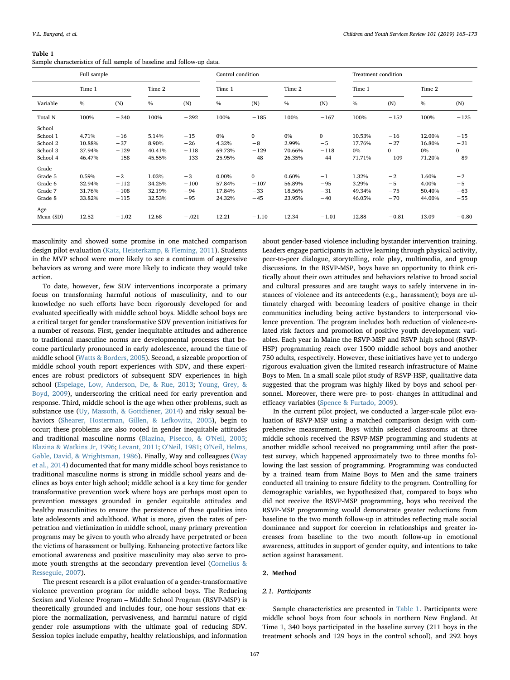# Table 1

Sample characteristics of full sample of baseline and follow-up data.

|           | Full sample |         |               |         | Control condition |              |               |              | Treatment condition |              |               |              |  |
|-----------|-------------|---------|---------------|---------|-------------------|--------------|---------------|--------------|---------------------|--------------|---------------|--------------|--|
|           | Time 1      |         | Time 2        |         | Time 1            |              | Time 2        |              | Time 1              |              | Time 2        |              |  |
| Variable  | $\%$        | (N)     | $\frac{0}{0}$ | (N)     | $\frac{0}{0}$     | (N)          | $\frac{0}{0}$ | (N)          | $\frac{0}{0}$       | (N)          | $\frac{0}{0}$ | (N)          |  |
| Total N   | 100%        | $-340$  | 100%          | $-292$  | 100%              | $-185$       | 100%          | $-167$       | 100%                | $-152$       | 100%          | $-125$       |  |
| School    |             |         |               |         |                   |              |               |              |                     |              |               |              |  |
| School 1  | 4.71%       | $-16$   | 5.14%         | $-15$   | 0%                | $\mathbf{0}$ | 0%            | $\mathbf{0}$ | 10.53%              | $-16$        | 12.00%        | $-15$        |  |
| School 2  | 10.88%      | $-37$   | 8.90%         | $-26$   | 4.32%             | $-8$         | 2.99%         | $-5$         | 17.76%              | $-27$        | 16.80%        | $-21$        |  |
| School 3  | 37.94%      | $-129$  | 40.41%        | $-118$  | 69.73%            | $-129$       | 70.66%        | $-118$       | 0%                  | $\mathbf{0}$ | $0\%$         | $\mathbf{0}$ |  |
| School 4  | 46.47%      | $-158$  | 45.55%        | $-133$  | 25.95%            | $-48$        | 26.35%        | $-44$        | 71.71%              | $-109$       | 71.20%        | $-89$        |  |
| Grade     |             |         |               |         |                   |              |               |              |                     |              |               |              |  |
| Grade 5   | 0.59%       | $-2$    | 1.03%         | $-3$    | 0.00%             | $\mathbf{0}$ | 0.60%         | $-1$         | 1.32%               | $-2$         | 1.60%         | $-2$         |  |
| Grade 6   | 32.94%      | $-112$  | 34.25%        | $-100$  | 57.84%            | $-107$       | 56.89%        | $-95$        | 3.29%               | $-5$         | 4.00%         | $-5$         |  |
| Grade 7   | 31.76%      | $-108$  | 32.19%        | $-94$   | 17.84%            | $-33$        | 18.56%        | $-31$        | 49.34%              | $-75$        | 50.40%        | $-63$        |  |
| Grade 8   | 33.82%      | $-115$  | 32.53%        | $-95$   | 24.32%            | $-45$        | 23.95%        | $-40$        | 46.05%              | $-70$        | 44.00%        | $-55$        |  |
| Age       |             |         |               |         |                   |              |               |              |                     |              |               |              |  |
| Mean (SD) | 12.52       | $-1.02$ | 12.68         | $-.021$ | 12.21             | $-1.10$      | 12.34         | $-1.01$      | 12.88               | $-0.81$      | 13.09         | $-0.80$      |  |

masculinity and showed some promise in one matched comparison design pilot evaluation (Katz, Heisterkamp, & Fleming, 2011). Students in the MVP school were more likely to see a continuum of aggressive behaviors as wrong and were more likely to indicate they would take action.

To date, however, few SDV interventions incorporate a primary focus on transforming harmful notions of masculinity, and to our knowledge no such efforts have been rigorously developed for and evaluated specifically with middle school boys. Middle school boys are a critical target for gender transformative SDV prevention initiatives for a number of reasons. First, gender inequitable attitudes and adherence to traditional masculine norms are developmental processes that become particularly pronounced in early adolescence, around the time of middle school (Watts & Borders, 2005). Second, a sizeable proportion of middle school youth report experiences with SDV, and these experiences are robust predictors of subsequent SDV experiences in high school (Espelage, Low, Anderson, De, & Rue, 2013; Young, Grey, & Boyd, 2009), underscoring the critical need for early prevention and response. Third, middle school is the age when other problems, such as substance use (Uy, Massoth, & Gottdiener, 2014) and risky sexual behaviors (Shearer, Hosterman, Gillen, & Lefkowitz, 2005), begin to occur; these problems are also rooted in gender inequitable attitudes and traditional masculine norms (Blazina, Pisecco, & O'Neil, 2005; Blazina & Watkins Jr, 1996; Levant, 2011; O'Neil, 1981; O'Neil, Helms, Gable, David, & Wrightsman, 1986). Finally, Way and colleagues (Way et al., 2014) documented that for many middle school boys resistance to traditional masculine norms is strong in middle school years and declines as boys enter high school; middle school is a key time for gender transformative prevention work where boys are perhaps most open to prevention messages grounded in gender equitable attitudes and healthy masculinities to ensure the persistence of these qualities into late adolescents and adulthood. What is more, given the rates of perpetration and victimization in middle school, many primary prevention programs may be given to youth who already have perpetrated or been the victims of harassment or bullying. Enhancing protective factors like emotional awareness and positive masculinity may also serve to promote youth strengths at the secondary prevention level (Cornelius & Resseguie, 2007).

The present research is a pilot evaluation of a gender-transformative violence prevention program for middle school boys. The Reducing Sexism and Violence Program – Middle School Program (RSVP-MSP) is theoretically grounded and includes four, one-hour sessions that explore the normalization, pervasiveness, and harmful nature of rigid gender role assumptions with the ultimate goal of reducing SDV. Session topics include empathy, healthy relationships, and information

about gender-based violence including bystander intervention training. Leaders engage participants in active learning through physical activity, peer-to-peer dialogue, storytelling, role play, multimedia, and group discussions. In the RSVP-MSP, boys have an opportunity to think critically about their own attitudes and behaviors relative to broad social and cultural pressures and are taught ways to safely intervene in instances of violence and its antecedents (e.g., harassment); boys are ultimately charged with becoming leaders of positive change in their communities including being active bystanders to interpersonal violence prevention. The program includes both reduction of violence-related risk factors and promotion of positive youth development variables. Each year in Maine the RSVP-MSP and RSVP high school (RSVP-HSP) programming reach over 1500 middle school boys and another 750 adults, respectively. However, these initiatives have yet to undergo rigorous evaluation given the limited research infrastructure of Maine Boys to Men. In a small scale pilot study of RSVP-HSP, qualitative data suggested that the program was highly liked by boys and school personnel. Moreover, there were pre- to post- changes in attitudinal and efficacy variables (Spence & Furtado, 2009).

In the current pilot project, we conducted a larger-scale pilot evaluation of RSVP-MSP using a matched comparison design with comprehensive measurement. Boys within selected classrooms at three middle schools received the RSVP-MSP programming and students at another middle school received no programming until after the posttest survey, which happened approximately two to three months following the last session of programming. Programming was conducted by a trained team from Maine Boys to Men and the same trainers conducted all training to ensure fidelity to the program. Controlling for demographic variables, we hypothesized that, compared to boys who did not receive the RSVP-MSP programming, boys who received the RSVP-MSP programming would demonstrate greater reductions from baseline to the two month follow-up in attitudes reflecting male social dominance and support for coercion in relationships and greater increases from baseline to the two month follow-up in emotional awareness, attitudes in support of gender equity, and intentions to take action against harassment.

# 2. Method

# 2.1. Participants

Sample characteristics are presented in Table 1. Participants were middle school boys from four schools in northern New England. At Time 1, 340 boys participated in the baseline survey (211 boys in the treatment schools and 129 boys in the control school), and 292 boys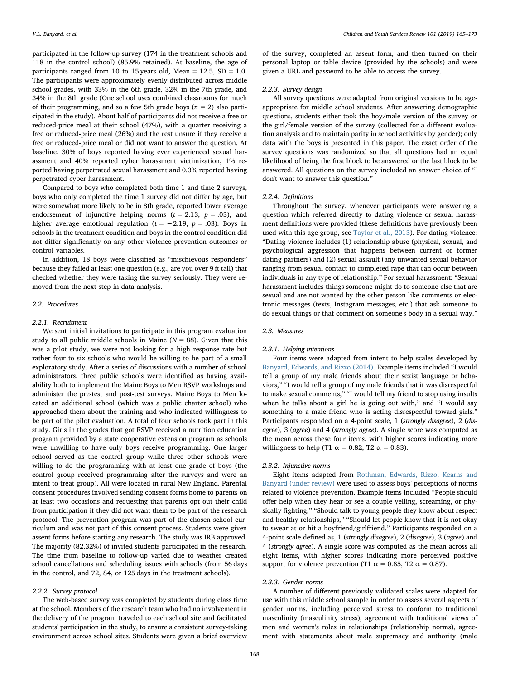participated in the follow-up survey (174 in the treatment schools and 118 in the control school) (85.9% retained). At baseline, the age of participants ranged from 10 to 15 years old, Mean =  $12.5$ , SD =  $1.0$ . The participants were approximately evenly distributed across middle school grades, with 33% in the 6th grade, 32% in the 7th grade, and 34% in the 8th grade (One school uses combined classrooms for much of their programming, and so a few 5th grade boys ( $n = 2$ ) also participated in the study). About half of participants did not receive a free or reduced-price meal at their school (47%), with a quarter receiving a free or reduced-price meal (26%) and the rest unsure if they receive a free or reduced-price meal or did not want to answer the question. At baseline, 30% of boys reported having ever experienced sexual harassment and 40% reported cyber harassment victimization, 1% reported having perpetrated sexual harassment and 0.3% reported having perpetrated cyber harassment.

Compared to boys who completed both time 1 and time 2 surveys, boys who only completed the time 1 survey did not differ by age, but were somewhat more likely to be in 8th grade, reported lower average endorsement of injunctive helping norms  $(t = 2.13, p = .03)$ , and higher average emotional regulation ( $t = -2.19$ ,  $p = .03$ ). Boys in schools in the treatment condition and boys in the control condition did not differ significantly on any other violence prevention outcomes or control variables.

In addition, 18 boys were classified as "mischievous responders" because they failed at least one question (e.g., are you over 9 ft tall) that checked whether they were taking the survey seriously. They were removed from the next step in data analysis.

# 2.2. Procedures

# 2.2.1. Recruitment

We sent initial invitations to participate in this program evaluation study to all public middle schools in Maine  $(N = 88)$ . Given that this was a pilot study, we were not looking for a high response rate but rather four to six schools who would be willing to be part of a small exploratory study. After a series of discussions with a number of school administrators, three public schools were identified as having availability both to implement the Maine Boys to Men RSVP workshops and administer the pre-test and post-test surveys. Maine Boys to Men located an additional school (which was a public charter school) who approached them about the training and who indicated willingness to be part of the pilot evaluation. A total of four schools took part in this study. Girls in the grades that got RSVP received a nutrition education program provided by a state cooperative extension program as schools were unwilling to have only boys receive programming. One larger school served as the control group while three other schools were willing to do the programming with at least one grade of boys (the control group received programming after the surveys and were an intent to treat group). All were located in rural New England. Parental consent procedures involved sending consent forms home to parents on at least two occasions and requesting that parents opt out their child from participation if they did not want them to be part of the research protocol. The prevention program was part of the chosen school curriculum and was not part of this consent process. Students were given assent forms before starting any research. The study was IRB approved. The majority (82.32%) of invited students participated in the research. The time from baseline to follow-up varied due to weather created school cancellations and scheduling issues with schools (from 56 days in the control, and 72, 84, or 125 days in the treatment schools).

#### 2.2.2. Survey protocol

The web-based survey was completed by students during class time at the school. Members of the research team who had no involvement in the delivery of the program traveled to each school site and facilitated students' participation in the study, to ensure a consistent survey-taking environment across school sites. Students were given a brief overview

of the survey, completed an assent form, and then turned on their personal laptop or table device (provided by the schools) and were given a URL and password to be able to access the survey.

#### 2.2.3. Survey design

All survey questions were adapted from original versions to be ageappropriate for middle school students. After answering demographic questions, students either took the boy/male version of the survey or the girl/female version of the survey (collected for a different evaluation analysis and to maintain parity in school activities by gender); only data with the boys is presented in this paper. The exact order of the survey questions was randomized so that all questions had an equal likelihood of being the first block to be answered or the last block to be answered. All questions on the survey included an answer choice of "I don't want to answer this question."

# 2.2.4. Definitions

Throughout the survey, whenever participants were answering a question which referred directly to dating violence or sexual harassment definitions were provided (these definitions have previously been used with this age group, see Taylor et al., 2013). For dating violence: "Dating violence includes (1) relationship abuse (physical, sexual, and psychological aggression that happens between current or former dating partners) and (2) sexual assault (any unwanted sexual behavior ranging from sexual contact to completed rape that can occur between individuals in any type of relationship." For sexual harassment: "Sexual harassment includes things someone might do to someone else that are sexual and are not wanted by the other person like comments or electronic messages (texts, Instagram messages, etc.) that ask someone to do sexual things or that comment on someone's body in a sexual way."

# 2.3. Measures

#### 2.3.1. Helping intentions

Four items were adapted from intent to help scales developed by Banyard, Edwards, and Rizzo (2014). Example items included "I would tell a group of my male friends about their sexist language or behaviors," "I would tell a group of my male friends that it was disrespectful to make sexual comments," "I would tell my friend to stop using insults when he talks about a girl he is going out with," and "I would say something to a male friend who is acting disrespectful toward girls." Participants responded on a 4-point scale, 1 (strongly disagree), 2 (disagree), 3 (agree) and 4 (strongly agree). A single score was computed as the mean across these four items, with higher scores indicating more willingness to help (T1  $\alpha$  = 0.82, T2  $\alpha$  = 0.83).

#### 2.3.2. Injunctive norms

Eight items adapted from Rothman, Edwards, Rizzo, Kearns and Banyard (under review) were used to assess boys' perceptions of norms related to violence prevention. Example items included "People should offer help when they hear or see a couple yelling, screaming, or physically fighting," "Should talk to young people they know about respect and healthy relationships," "Should let people know that it is not okay to swear at or hit a boyfriend/girlfriend." Participants responded on a 4-point scale defined as, 1 (strongly disagree), 2 (disagree), 3 (agree) and 4 (strongly agree). A single score was computed as the mean across all eight items, with higher scores indicating more perceived positive support for violence prevention (T1  $\alpha$  = 0.85, T2  $\alpha$  = 0.87).

## 2.3.3. Gender norms

A number of different previously validated scales were adapted for use with this middle school sample in order to assess several aspects of gender norms, including perceived stress to conform to traditional masculinity (masculinity stress), agreement with traditional views of men and women's roles in relationships (relationship norms), agreement with statements about male supremacy and authority (male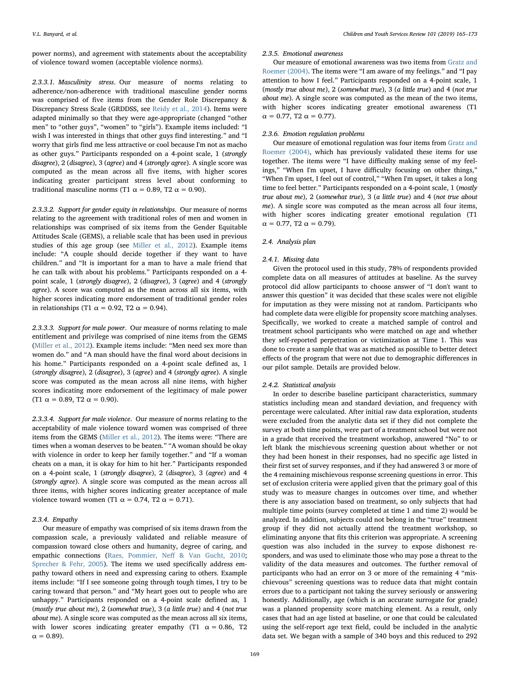power norms), and agreement with statements about the acceptability of violence toward women (acceptable violence norms).

2.3.3.1. Masculinity stress. Our measure of norms relating to adherence/non-adherence with traditional masculine gender norms was comprised of five items from the Gender Role Discrepancy & Discrepancy Stress Scale (GRDDSS, see Reidy et al., 2014). Items were adapted minimally so that they were age-appropriate (changed "other men" to "other guys", "women" to "girls"). Example items included: "I wish I was interested in things that other guys find interesting." and "I worry that girls find me less attractive or cool because I'm not as macho as other guys." Participants responded on a 4-point scale, 1 (strongly disagree), 2 (disagree), 3 (agree) and 4 (strongly agree). A single score was computed as the mean across all five items, with higher scores indicating greater participant stress level about conforming to traditional masculine norms (T1  $\alpha$  = 0.89, T2  $\alpha$  = 0.90).

2.3.3.2. Support for gender equity in relationships. Our measure of norms relating to the agreement with traditional roles of men and women in relationships was comprised of six items from the Gender Equitable Attitudes Scale (GEMS), a reliable scale that has been used in previous studies of this age group (see Miller et al., 2012). Example items include: "A couple should decide together if they want to have children." and "It is important for a man to have a male friend that he can talk with about his problems." Participants responded on a 4 point scale, 1 (strongly disagree), 2 (disagree), 3 (agree) and 4 (strongly agree). A score was computed as the mean across all six items, with higher scores indicating more endorsement of traditional gender roles in relationships (T1  $\alpha$  = 0.92, T2  $\alpha$  = 0.94).

2.3.3.3. Support for male power. Our measure of norms relating to male entitlement and privilege was comprised of nine items from the GEMS (Miller et al., 2012). Example items include: "Men need sex more than women do." and "A man should have the final word about decisions in his home." Participants responded on a 4-point scale defined as, 1 (strongly disagree), 2 (disagree), 3 (agree) and 4 (strongly agree). A single score was computed as the mean across all nine items, with higher scores indicating more endorsement of the legitimacy of male power (T1  $\alpha$  = 0.89, T2  $\alpha$  = 0.90).

2.3.3.4. Support for male violence. Our measure of norms relating to the acceptability of male violence toward women was comprised of three items from the GEMS (Miller et al., 2012). The items were: "There are times when a woman deserves to be beaten." "A woman should be okay with violence in order to keep her family together." and "If a woman cheats on a man, it is okay for him to hit her." Participants responded on a 4-point scale, 1 (strongly disagree), 2 (disagree), 3 (agree) and 4 (strongly agree). A single score was computed as the mean across all three items, with higher scores indicating greater acceptance of male violence toward women (T1  $\alpha$  = 0.74, T2  $\alpha$  = 0.71).

# 2.3.4. Empathy

Our measure of empathy was comprised of six items drawn from the compassion scale, a previously validated and reliable measure of compassion toward close others and humanity, degree of caring, and empathic connections (Raes, Pommier, Neff & Van Gucht, 2010; Sprecher & Fehr, 2005). The items we used specifically address empathy toward others in need and expressing caring to others. Example items include: "If I see someone going through tough times, I try to be caring toward that person." and "My heart goes out to people who are unhappy." Participants responded on a 4-point scale defined as, 1 (mostly true about me), 2 (somewhat true), 3 (a little true) and 4 (not true about me). A single score was computed as the mean across all six items, with lower scores indicating greater empathy (T1  $\alpha = 0.86$ , T2  $α = 0.89$ ).

#### 2.3.5. Emotional awareness

Our measure of emotional awareness was two items from Gratz and Roemer (2004). The items were "I am aware of my feelings." and "I pay attention to how I feel." Participants responded on a 4-point scale, 1 (mostly true about me), 2 (somewhat true), 3 (a little true) and 4 (not true about me). A single score was computed as the mean of the two items, with higher scores indicating greater emotional awareness (T1  $\alpha = 0.77$ , T2  $\alpha = 0.77$ ).

# 2.3.6. Emotion regulation problems

Our measure of emotional regulation was four items from Gratz and Roemer (2004), which has previously validated these items for use together. The items were "I have difficulty making sense of my feelings," "When I'm upset, I have difficulty focusing on other things," "When I'm upset, I feel out of control," "When I'm upset, it takes a long time to feel better." Participants responded on a 4-point scale, 1 (mostly true about me), 2 (somewhat true), 3 (a little true) and 4 (not true about me). A single score was computed as the mean across all four items, with higher scores indicating greater emotional regulation (T1  $\alpha = 0.77$ , T2  $\alpha = 0.79$ ).

## 2.4. Analysis plan

# 2.4.1. Missing data

Given the protocol used in this study, 78% of respondents provided complete data on all measures of attitudes at baseline. As the survey protocol did allow participants to choose answer of "I don't want to answer this question" it was decided that these scales were not eligible for imputation as they were missing not at random. Participants who had complete data were eligible for propensity score matching analyses. Specifically, we worked to create a matched sample of control and treatment school participants who were matched on age and whether they self-reported perpetration or victimization at Time 1. This was done to create a sample that was as matched as possible to better detect effects of the program that were not due to demographic differences in our pilot sample. Details are provided below.

#### 2.4.2. Statistical analysis

In order to describe baseline participant characteristics, summary statistics including mean and standard deviation, and frequency with percentage were calculated. After initial raw data exploration, students were excluded from the analytic data set if they did not complete the survey at both time points, were part of a treatment school but were not in a grade that received the treatment workshop, answered "No" to or left blank the mischievous screening question about whether or not they had been honest in their responses, had no specific age listed in their first set of survey responses, and if they had answered 3 or more of the 4 remaining mischievous response screening questions in error. This set of exclusion criteria were applied given that the primary goal of this study was to measure changes in outcomes over time, and whether there is any association based on treatment, so only subjects that had multiple time points (survey completed at time 1 and time 2) would be analyzed. In addition, subjects could not belong in the "true" treatment group if they did not actually attend the treatment workshop, so eliminating anyone that fits this criterion was appropriate. A screening question was also included in the survey to expose dishonest responders, and was used to eliminate those who may pose a threat to the validity of the data measures and outcomes. The further removal of participants who had an error on 3 or more of the remaining 4 "mischievous" screening questions was to reduce data that might contain errors due to a participant not taking the survey seriously or answering honestly. Additionally, age (which is an accurate surrogate for grade) was a planned propensity score matching element. As a result, only cases that had an age listed at baseline, or one that could be calculated using the self-report age text field, could be included in the analytic data set. We began with a sample of 340 boys and this reduced to 292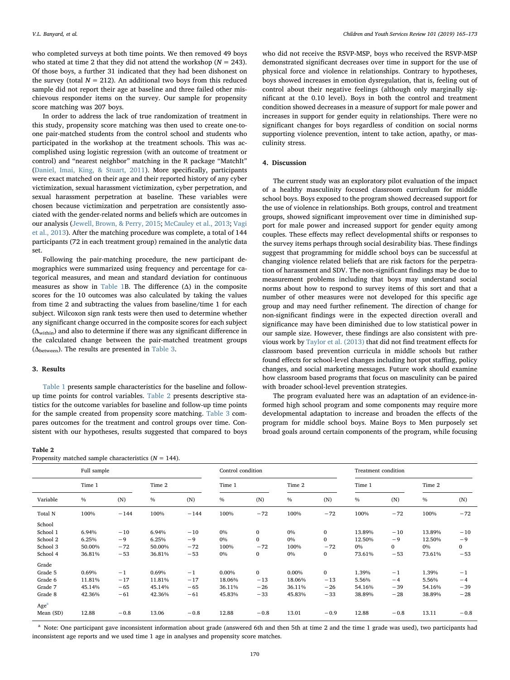who completed surveys at both time points. We then removed 49 boys who stated at time 2 that they did not attend the workshop ( $N = 243$ ). Of those boys, a further 31 indicated that they had been dishonest on the survey (total  $N = 212$ ). An additional two boys from this reduced sample did not report their age at baseline and three failed other mischievous responder items on the survey. Our sample for propensity score matching was 207 boys.

In order to address the lack of true randomization of treatment in this study, propensity score matching was then used to create one-toone pair-matched students from the control school and students who participated in the workshop at the treatment schools. This was accomplished using logistic regression (with an outcome of treatment or control) and "nearest neighbor" matching in the R package "MatchIt" (Daniel, Imai, King, & Stuart, 2011). More specifically, participants were exact matched on their age and their reported history of any cyber victimization, sexual harassment victimization, cyber perpetration, and sexual harassment perpetration at baseline. These variables were chosen because victimization and perpetration are consistently associated with the gender-related norms and beliefs which are outcomes in our analysis (Jewell, Brown, & Perry, 2015; McCauley et al., 2013; Vagi et al., 2013). After the matching procedure was complete, a total of 144 participants (72 in each treatment group) remained in the analytic data set.

Following the pair-matching procedure, the new participant demographics were summarized using frequency and percentage for categorical measures, and mean and standard deviation for continuous measures as show in Table 1B. The difference (Δ) in the composite scores for the 10 outcomes was also calculated by taking the values from time 2 and subtracting the values from baseline/time 1 for each subject. Wilcoxon sign rank tests were then used to determine whether any significant change occurred in the composite scores for each subject  $(\Delta_{\rm within})$  and also to determine if there was any significant difference in the calculated change between the pair-matched treatment groups  $(\Delta_{\text{between}})$ . The results are presented in Table 3.

#### 3. Results

Table 1 presents sample characteristics for the baseline and followup time points for control variables. Table 2 presents descriptive statistics for the outcome variables for baseline and follow-up time points for the sample created from propensity score matching. Table 3 compares outcomes for the treatment and control groups over time. Consistent with our hypotheses, results suggested that compared to boys

| anı |  |  |
|-----|--|--|
|-----|--|--|

| Propensity matched sample characteristics $(N = 144)$ . |  |
|---------------------------------------------------------|--|
|---------------------------------------------------------|--|

who did not receive the RSVP-MSP, boys who received the RSVP-MSP demonstrated significant decreases over time in support for the use of physical force and violence in relationships. Contrary to hypotheses, boys showed increases in emotion dysregulation, that is, feeling out of control about their negative feelings (although only marginally significant at the 0.10 level). Boys in both the control and treatment condition showed decreases in a measure of support for male power and increases in support for gender equity in relationships. There were no significant changes for boys regardless of condition on social norms supporting violence prevention, intent to take action, apathy, or masculinity stress.

# 4. Discussion

The current study was an exploratory pilot evaluation of the impact of a healthy masculinity focused classroom curriculum for middle school boys. Boys exposed to the program showed decreased support for the use of violence in relationships. Both groups, control and treatment groups, showed significant improvement over time in diminished support for male power and increased support for gender equity among couples. These effects may reflect developmental shifts or responses to the survey items perhaps through social desirability bias. These findings suggest that programming for middle school boys can be successful at changing violence related beliefs that are risk factors for the perpetration of harassment and SDV. The non-significant findings may be due to measurement problems including that boys may understand social norms about how to respond to survey items of this sort and that a number of other measures were not developed for this specific age group and may need further refinement. The direction of change for non-significant findings were in the expected direction overall and significance may have been diminished due to low statistical power in our sample size. However, these findings are also consistent with previous work by Taylor et al. (2013) that did not find treatment effects for classroom based prevention curricula in middle schools but rather found effects for school-level changes including hot spot staffing, policy changes, and social marketing messages. Future work should examine how classroom based programs that focus on masculinity can be paired with broader school-level prevention strategies.

The program evaluated here was an adaptation of an evidence-informed high school program and some components may require more developmental adaptation to increase and broaden the effects of the program for middle school boys. Maine Boys to Men purposely set broad goals around certain components of the program, while focusing

|                  | Full sample   |        |        |        | Control condition |              |               |              | Treatment condition |              |        |        |  |
|------------------|---------------|--------|--------|--------|-------------------|--------------|---------------|--------------|---------------------|--------------|--------|--------|--|
|                  | Time 1        |        | Time 2 |        | Time 1            |              | Time 2        |              | Time 1              |              | Time 2 |        |  |
| Variable         | $\frac{0}{0}$ | (N)    | $\%$   | (N)    | $\frac{0}{0}$     | (N)          | $\frac{0}{0}$ | (N)          | $\frac{0}{0}$       | (N)          | $\%$   | (N)    |  |
| Total N          | 100%          | $-144$ | 100%   | $-144$ | 100%              | $-72$        | 100%          | $-72$        | 100%                | $-72$        | 100%   | $-72$  |  |
| School           |               |        |        |        |                   |              |               |              |                     |              |        |        |  |
| School 1         | 6.94%         | $-10$  | 6.94%  | $-10$  | $0\%$             | 0            | 0%            | $\mathbf{0}$ | 13.89%              | $-10$        | 13.89% | $-10$  |  |
| School 2         | 6.25%         | $-9$   | 6.25%  | $-9$   | $0\%$             | $\mathbf{0}$ | 0%            | $\mathbf 0$  | 12.50%              | $-9$         | 12.50% | $-9$   |  |
| School 3         | 50.00%        | $-72$  | 50.00% | $-72$  | 100%              | $-72$        | 100%          | $-72$        | 0%                  | $\mathbf{0}$ | 0%     | 0      |  |
| School 4         | 36.81%        | $-53$  | 36.81% | $-53$  | 0%                | 0            | 0%            | $\bf{0}$     | 73.61%              | $-53$        | 73.61% | $-53$  |  |
| Grade            |               |        |        |        |                   |              |               |              |                     |              |        |        |  |
| Grade 5          | 0.69%         | $-1$   | 0.69%  | $-1$   | 0.00%             | $\mathbf{0}$ | 0.00%         | $\mathbf{0}$ | 1.39%               | $-1$         | 1.39%  | $-1$   |  |
| Grade 6          | 11.81%        | $-17$  | 11.81% | $-17$  | 18.06%            | $-13$        | 18.06%        | $-13$        | 5.56%               | $-4$         | 5.56%  | $-4$   |  |
| Grade 7          | 45.14%        | $-65$  | 45.14% | $-65$  | 36.11%            | $-26$        | 36.11%        | $-26$        | 54.16%              | $-39$        | 54.16% | $-39$  |  |
| Grade 8          | 42.36%        | $-61$  | 42.36% | $-61$  | 45.83%            | $-33$        | 45.83%        | $-33$        | 38.89%              | $-28$        | 38.89% | $-28$  |  |
| Age <sup>a</sup> |               |        |        |        |                   |              |               |              |                     |              |        |        |  |
| Mean (SD)        | 12.88         | $-0.8$ | 13.06  | $-0.8$ | 12.88             | $-0.8$       | 13.01         | $-0.9$       | 12.88               | $-0.8$       | 13.11  | $-0.8$ |  |

<sup>a</sup> Note: One participant gave inconsistent information about grade (answered 6th and then 5th at time 2 and the time 1 grade was used), two participants had inconsistent age reports and we used time 1 age in analyses and propensity score matches.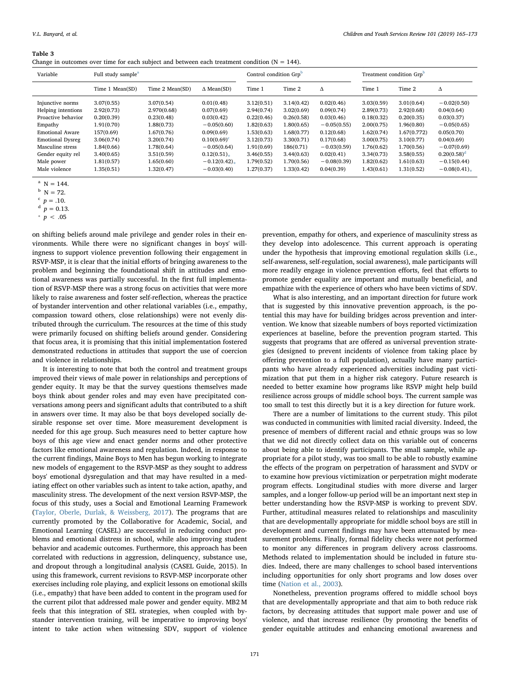#### Table 3

| Change in outcomes over time for each subject and between each treatment condition ( $N = 144$ ). |  |  |  |  |  |  |  |
|---------------------------------------------------------------------------------------------------|--|--|--|--|--|--|--|
|                                                                                                   |  |  |  |  |  |  |  |

| Variable                | Full study sample <sup>a</sup> |                 |                   | Control condition Grp <sup>b</sup> |            |               | Treatment condition Grp <sup>b</sup> |             |                |  |
|-------------------------|--------------------------------|-----------------|-------------------|------------------------------------|------------|---------------|--------------------------------------|-------------|----------------|--|
|                         | Time 1 Mean(SD)                | Time 2 Mean(SD) | $\Delta$ Mean(SD) | Time 1                             | Time 2     | Δ             | Time 1                               | Time 2      | Δ              |  |
| Injunctive norms        | 3.07(0.55)                     | 3.07(0.54)      | 0.01(0.48)        | 3.12(0.51)                         | 3.14(0.42) | 0.02(0.46)    | 3.03(0.59)                           | 3.01(0.64)  | $-0.02(0.50)$  |  |
| Helping intentions      | 2.92(0.73)                     | 2.970(0.68)     | 0.07(0.69)        | 2.94(0.74)                         | 3.02(0.69) | 0.09(0.74)    | 2.89(0.73)                           | 2.92(0.68)  | 0.04(0.64)     |  |
| Proactive behavior      | 0.20(0.39)                     | 0.23(0.48)      | 0.03(0.42)        | 0.22(0.46)                         | 0.26(0.58) | 0.03(0.46)    | 0.18(0.32)                           | 0.20(0.35)  | 0.03(0.37)     |  |
| Empathy                 | 1.91(0.70)                     | 1.88(0.73)      | $-0.05(0.60)$     | 1.82(0.63)                         | 1.80(0.65) | $-0.05(0.55)$ | 2.00(0.75)                           | 1.96(0.80)  | $-0.05(0.65)$  |  |
| <b>Emotional Aware</b>  | 157(0.69)                      | 1.67(0.76)      | 0.09(0.69)        | 1.53(0.63)                         | 1.68(0.77) | 0.12(0.68)    | 1.62(0.74)                           | 1.67(0.772) | 0.05(0.70)     |  |
| <b>Emotional Dysreg</b> | 3.06(0.74)                     | 3.20(0.74)      | $0.10(0.69)^c$    | 3.12(0.73)                         | 3.30(0.71) | 0.17(0.68)    | 3.00(0.75)                           | 3.10(0.77)  | 0.04(0.69)     |  |
| Masculine stress        | 1.84(0.66)                     | 1.78(0.64)      | $-0.05(0.64)$     | 1.91(0.69)                         | 186(0.71)  | $-0.03(0.59)$ | 1.76(0.62)                           | 1.70(0.56)  | $-0.07(0.69)$  |  |
| Gender equity rel       | 3.40(0.65)                     | 3.51(0.59)      | $0.12(0.51)$ .    | 3.46(0.55)                         | 3.44(0.63) | 0.02(0.41)    | 3.34(0.73)                           | 3.58(0.55)  | $0.20(0.58)^d$ |  |
| Male power              | 1.81(0.57)                     | 1.65(0.60)      | $-0.12(0.42)$     | 1.79(0.52)                         | 1.70(0.56) | $-0.08(0.39)$ | 1.82(0.62)                           | 1.61(0.63)  | $-0.15(0.44)$  |  |
| Male violence           | 1.35(0.51)                     | 1.32(0.47)      | $-0.03(0.40)$     | 1.27(0.37)                         | 1.33(0.42) | 0.04(0.39)    | 1.43(0.61)                           | 1.31(0.52)  | $-0.08(0.41)$  |  |

 $N = 144$ .

 $p = .10$ .

 $p = 0.13$ .

 $p < .05$ 

on shifting beliefs around male privilege and gender roles in their environments. While there were no significant changes in boys' willingness to support violence prevention following their engagement in RSVP-MSP, it is clear that the initial efforts of bringing awareness to the problem and beginning the foundational shift in attitudes and emotional awareness was partially successful. In the first full implementation of RSVP-MSP there was a strong focus on activities that were more likely to raise awareness and foster self-reflection, whereas the practice of bystander intervention and other relational variables (i.e., empathy, compassion toward others, close relationships) were not evenly distributed through the curriculum. The resources at the time of this study were primarily focused on shifting beliefs around gender. Considering that focus area, it is promising that this initial implementation fostered demonstrated reductions in attitudes that support the use of coercion and violence in relationships.

It is interesting to note that both the control and treatment groups improved their views of male power in relationships and perceptions of gender equity. It may be that the survey questions themselves made boys think about gender roles and may even have precipitated conversations among peers and significant adults that contributed to a shift in answers over time. It may also be that boys developed socially desirable response set over time. More measurement development is needed for this age group. Such measures need to better capture how boys of this age view and enact gender norms and other protective factors like emotional awareness and regulation. Indeed, in response to the current findings, Maine Boys to Men has begun working to integrate new models of engagement to the RSVP-MSP as they sought to address boys' emotional dysregulation and that may have resulted in a mediating effect on other variables such as intent to take action, apathy, and masculinity stress. The development of the next version RSVP-MSP, the focus of this study, uses a Social and Emotional Learning Framework (Taylor, Oberle, Durlak, & Weissberg, 2017). The programs that are currently promoted by the Collaborative for Academic, Social, and Emotional Learning (CASEL) are successful in reducing conduct problems and emotional distress in school, while also improving student behavior and academic outcomes. Furthermore, this approach has been correlated with reductions in aggression, delinquency, substance use, and dropout through a longitudinal analysis (CASEL Guide, 2015). In using this framework, current revisions to RSVP-MSP incorporate other exercises including role playing, and explicit lessons on emotional skills (i.e., empathy) that have been added to content in the program used for the current pilot that addressed male power and gender equity. MB2 M feels that this integration of SEL strategies, when coupled with bystander intervention training, will be imperative to improving boys' intent to take action when witnessing SDV, support of violence

prevention, empathy for others, and experience of masculinity stress as they develop into adolescence. This current approach is operating under the hypothesis that improving emotional regulation skills (i.e., self-awareness, self-regulation, social awareness), male participants will more readily engage in violence prevention efforts, feel that efforts to promote gender equality are important and mutually beneficial, and empathize with the experience of others who have been victims of SDV.

What is also interesting, and an important direction for future work that is suggested by this innovative prevention approach, is the potential this may have for building bridges across prevention and intervention. We know that sizeable numbers of boys reported victimization experiences at baseline, before the prevention program started. This suggests that programs that are offered as universal prevention strategies (designed to prevent incidents of violence from taking place by offering prevention to a full population), actually have many participants who have already experienced adversities including past victimization that put them in a higher risk category. Future research is needed to better examine how programs like RSVP might help build resilience across groups of middle school boys. The current sample was too small to test this directly but it is a key direction for future work.

There are a number of limitations to the current study. This pilot was conducted in communities with limited racial diversity. Indeed, the presence of members of different racial and ethnic groups was so low that we did not directly collect data on this variable out of concerns about being able to identify participants. The small sample, while appropriate for a pilot study, was too small to be able to robustly examine the effects of the program on perpetration of harassment and SVDV or to examine how previous victimization or perpetration might moderate program effects. Longitudinal studies with more diverse and larger samples, and a longer follow-up period will be an important next step in better understanding how the RSVP-MSP is working to prevent SDV. Further, attitudinal measures related to relationships and masculinity that are developmentally appropriate for middle school boys are still in development and current findings may have been attenuated by measurement problems. Finally, formal fidelity checks were not performed to monitor any differences in program delivery across classrooms. Methods related to implementation should be included in future studies. Indeed, there are many challenges to school based interventions including opportunities for only short programs and low doses over time (Nation et al., 2003).

Nonetheless, prevention programs offered to middle school boys that are developmentally appropriate and that aim to both reduce risk factors, by decreasing attitudes that support male power and use of violence, and that increase resilience (by promoting the benefits of gender equitable attitudes and enhancing emotional awareness and

 $b N = 72.$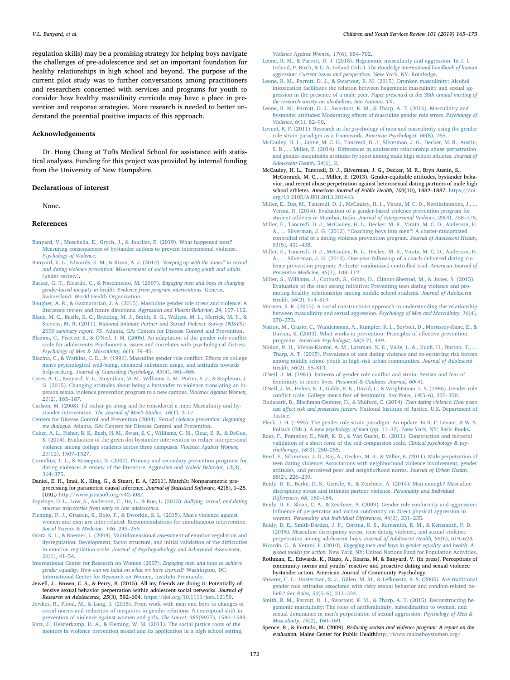regulation skills) may be a promising strategy for helping boys navigate the challenges of pre-adolescence and set an important foundation for healthy relationships in high school and beyond. The purpose of the current pilot study was to further conversations among practitioners and researchers concerned with services and programs for youth to consider how healthy masculinity curricula may have a place in prevention and response strategies. More research is needed to better understand the potential positive impacts of this approach.

# Acknowledgements

Dr. Hong Chang at Tufts Medical School for assistance with statistical analyses. Funding for this project was provided by internal funding from the University of New Hampshire.

# Declarations of interest

None.

# References

- Banyard, V., Moschella, E., Grych, J., & Jouriles, E. (2019). What happened next? Measuring consequences of bystander actions to prevent interpersonal violence. Psychology of Violence.
- Banyard, V. L., Edwards, K. M., & Rizzo, A. J. (2014). "Keeping up with the Jones'" in sexual and dating violence prevention: Measurement of social norms among youth and adults. (under review).
- Barker, G. T., Ricardo, C., & Nascimento, M. (2007). Engaging men and boys in changing gender-based inequity in health: Evidence from program interventions. Geneva, Switzerland: World Health Organization.
- Baugher, A. R., & Gazmararian, J. A. (2015). Masculine gender role stress and violence: A literature review and future directions. Aggression and Violent Behavior, 24, 107–112.
- Black, M. C., Basile, K. C., Breiding, M. J., Smith, S. G., Walters, M. L., Merrick, M. T., & Stevens, M. R. (2011). National Intimate Partner and Sexual Violence Survey (NISVS): 2010 summary report. 75. Atlanta, GA: Centers for Disease Control and Prevention.
- Blazina, C., Pisecco, S., & O'Neil, J. M. (2005). An adaptation of the gender role conflict scale for adolescents: Psychometric issues and correlates with psychological distress. Psychology of Men & Masculinity, 6(1), 39–45.
- Blazina, C., & Watkins, C. E., Jr. (1996). Masculine gender role conflict: Effects on college men's psychological well-being, chemical substance usage, and attitudes towards help-seeking. Journal of Counseling Psychology, 43(4), 461–465.
- Cares, A. C., Banyard, V. L., Moynihan, M. M., Williams, L. M., Potter, S. J., & Stapleton, J. G. (2015). Changing attitudes about being a bystander to violence translating an inperson sexual violence prevention program to a new campus. Violence Against Women, 21(2), 165–187.
- Carlson, M. (2008). I'd rather go along and be considered a man: Masculinity and bystander intervention. The Journal of Men's Studies, 16(1), 3–17.
- Centers for Disease Control and Prevention (2004). Sexual violence prevention: Beginning the dialogue. Atlanta, GA: Centers for Disease Control and Prevention.
- Coker, A. L., Fisher, B. S., Bush, H. M., Swan, S. C., Williams, C. M., Clear, E. R., & DeGue, S. (2014). Evaluation of the green dot bystander intervention to reduce interpersonal violence among college students across three campuses. Violence Against Women, 21(12), 1507–1527.
- Cornelius, T. L., & Resseguie, N. (2007). Primary and secondary prevention programs for dating violence: A review of the literature. Aggression and Violent Behavior, 12(3), 364–375.
- Daniel, E. H., Imai, K., King, G., & Stuart, E. A. (2011). MatchIt: Nonparametric preprocessing for parametric causal inference. Journal of Statistical Software, 42(8), 1–28. (URL) http://www.jstatsoft.org/v42/i08/.
- Espelage, D. L., Low, S., Anderson, C., De, L., & Rue, L. (2013). Bullying, sexual, and dating violence trajectories from early to late adolescence.
- Fleming, P. J., Gruskin, S., Rojo, F., & Dworkin, S. L. (2015). Men's violence against women and men are inter-related: Recommendations for simultaneous intervention. Social Science & Medicine, 146, 249–256.
- Gratz, K. L., & Roemer, L. (2004). Multidimensional assessment of emotion regulation and dysregulation: Development, factor structure, and initial validation of the difficulties in emotion regulation scale. Journal of Psychopathology and Behavioral Assessment, 26(1), 41–54.
- International Center for Research on Women (2007). Engaging men and boys to achieve gender equality: How can we build on what we have learned? Washington, DC: International Center for Research on Women, Instituto Promundo.
- Jewell, J., Brown, C. S., & Perry, B. (2015). All my friends are doing it: Potentially offensive sexual behavior perpetration within adolescent social networks. Journal of Research on Adolescence, 25(3), 592–604. https://doi.org/10.1111/jora.12150.
- Jewkes, R., Flood, M., & Lang, J. (2015). From work with men and boys to changes of social norms and reduction of inequities in gender relations: A conceptual shift in prevention of violence against women and girls. The Lancet, 385(9977), 1580–1589.
- Katz, J., Heisterkamp, H. A., & Fleming, W. M. (2011). The social justice roots of the mentors in violence prevention model and its application in a high school setting.

Violence Against Women, 17(6), 684–702.

- Leone, R. M., & Parrott, D. J. (2018). Hegemonic masculinity and aggression. In J. L. Ireland, P. Birch, & C. A. Ireland (Eds.). The Routledge international handbook of human aggression: Current issues and perspectives. New York, NY: Routledge.
- Leone, R. M., Parrott, D. J., & Swartout, K. M. (2015). Drunken masculinity: Alcohol intoxication facilitates the relation between hegemonic masculinity and sexual aggression in the presence of a male peer. Paper presented at the 38th annual meeting of the research society on alcoholism, San Antonio, TX.
- Leone, R. M., Parrott, D. J., Swartout, K. M., & Tharp, A. T. (2016). Masculinity and bystander attitudes: Moderating effects of masculine gender role stress. Psychology of Violence, 6(1), 82–90.
- Levant, R. F. (2011). Research in the psychology of men and masculinity using the gender role strain paradigm as a framework. American Psychologist, 66(8), 765.
- McCauley, H. L., Jaime, M. C. D., Tancredi, D. J., Silverman, J. G., Decker, M. R., Austin, S. B., ... Miller, E. (2014). Differences in adolescent relationship abuse perpetration and gender-inequitable attitudes by sport among male high school athletes. Journal of Adolescent Health, 54(6), 2.
- McCauley, H. L., Tancredi, D. J., Silverman, J. G., Decker, M. R., Bryn Austin, S., McCormick, M. C., ... Miller, E. (2013). Gender-equitable attitudes, bystander behavior, and recent abuse perpetration against heterosexual dating partners of male high school athletes. American Journal of Public Health, 103(10), 1882–1887. https://doi. org/10.2105/AJPH.2013.301443.
- Miller, E., Das, M., Tancredi, D. J., McCauley, H. L., Virata, M. C. D., Nettiksimmons, J., ... Verma, R. (2014). Evaluation of a gender-based violence prevention program for student athletes in Mumbai, India. Journal of Interpersonal Violence, 29(4), 758–778.
- Miller, E., Tancredi, D. J., McCauley, H. L., Decker, M. R., Virata, M. C. D., Anderson, H. A., ... Silverman, J. G. (2012). "Coaching boys into men": A cluster-randomized controlled trial of a dating violence prevention program. Journal of Adolescent Health, 51(5), 431–438.
- Miller, E., Tancredi, D. J., McCauley, H. L., Decker, M. R., Virata, M. C. D., Anderson, H. A., ... Silverman, J. G. (2013). One-year follow-up of a coach-delivered dating violence prevention program: A cluster randomized controlled trial. American Journal of Preventive Medicine, 45(1), 108–112.
- Miller, S., Williams, J., Cutbush, S., Gibbs, D., Clinton-Sherrod, M., & Jones, S. (2015). Evaluation of the start strong initiative: Preventing teen dating violence and promoting healthy relationships among middle school students. Journal of Adolescent Health, 56(2), S14–S19.
- Murnen, S. K. (2015). A social constructivist approach to understanding the relationship between masculinity and sexual aggression. Psychology of Men and Masculinity, 16(4), 370–373.
- Nation, M., Crusto, C., Wandersman, A., Kumpfer, K. L., Seybolt, D., Morrissey-Kane, E., & Davino, K. (2003). What works in prevention: Principles of effective prevention programs. American Psychologist, 58(6-7), 449.
- Niolon, P. H., Vivolo-Kantor, A. M., Latzman, N. E., Valle, L. A., Kuoh, H., Burton, T., ... Tharp, A. T. (2015). Prevalence of teen dating violence and co-occurring risk factors among middle school youth in high-risk urban communities. Journal of Adolescent Health, 56(2), S5–S13.
- O'Neil, J. M. (1981). Patterns of gender role conflict and strain: Sexism and fear of femininity in men's lives. Personnel & Guidance Journal, 60(4).
- O'Neil, J. M., Helms, B. J., Gable, R. K., David, L., & Wrightsman, L. S. (1986). Gender-role conflict scale: College men's fear of femininity. Sex Roles, 14(5–6), 335–350.
- Oudekerk, B., Blachman-Demner, D., & Mulford, C. (2014). Teen dating violence: How peers can affect risk and protective factors. National Institute of Justice, U.S. Department of Justice.
- Pleck, J. H. (1995). The gender role strain paradigm: An update. In R. F. Levant, & W. S. Pollack (Eds.). A new psychology of men (pp. 11–32). New York, NY: Basic Books.
- Raes, F., Pommier, E., Neff, K. D., & Van Gucht, D. (2011). Construction and factorial validation of a short form of the self-compassion scale. Clinical psychology & psy chotherapy, 18(3), 250–255.
- Reed, E., Silverman, J. G., Raj, A., Decker, M. R., & Miller, E. (2011). Male perpetration of teen dating violence: Associations with neighborhood violence involvement, gender attitudes, and perceived peer and neighborhood norms. Journal of Urban Health, 88(2), 226–239.
- Reidy, D. E., Berke, D. S., Gentile, B., & Zeichner, A. (2014). Man enough? Masculine discrepancy stress and intimate partner violence. Personality and Individual Differences, 68, 160–164.
- Reidy, D. E., Sloan, C. A., & Zeichner, A. (2009). Gender role conformity and aggression: Influence of perpetrator and victim conformity on direct physical aggression in women. Personality and Individual Differences, 46(2), 231–235.
- Reidy, D. E., Smith-Darden, J. P., Cortina, K. S., Kernsmith, R. M., & Kernsmith, P. D. (2015). Masculine discrepancy stress, teen dating violence, and sexual violence perpetration among adolescent boys. Journal of Adolescent Health, 56(6), 619–624.
- Ricardo, C., & Verani, F. (2010). Engaging men and boys in gender equality and health: A global toolkit for action. New York, NY: United Nations Fund for Population Activities.
- Rothman, E., Edwards, K., Rizzo, A., Kearns, M. & Banyard, V. (in press). Perceptions of community norms and youths' reactive and proactive dating and sexual violence bystander action. American Journal of Community Psychology.
- Shearer, C. L., Hosterman, S. J., Gillen, M. M., & Lefkowitz, E. S. (2005). Are traditional gender role attitudes associated with risky sexual behavior and condom-related beliefs? Sex Roles, 52(5–6), 311–324.
- Smith, R. M., Parrott, D. J., Swartout, K. M., & Tharp, A. T. (2015). Deconstructing hegemonic masculinity: The roles of antifemininity, subordination to women, and sexual dominance in men's perpetration of sexual aggression. Psychology of Men & Masculinity, 16(2), 160–169.
- Spence, R., & Furtado, M. (2009). Reducing sexism and violence program: A report on the evaluation. Maine Center for Public Healthhttp://www.maineboystomen.org/